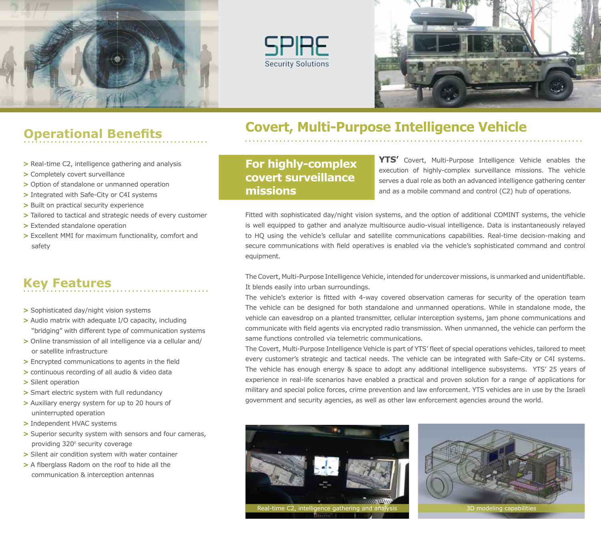





# **Operational Benefits**

- **>** Real-time C2, intelligence gathering and analysis
- **>** Completely covert surveillance
- **>** Option of standalone or unmanned operation
- **>** Integrated with Safe-City or C4I systems
- **>** Built on practical security experience
- **>** Tailored to tactical and strategic needs of every customer
- **>** Extended standalone operation
- **>** Excellent MMI for maximum functionality, comfort and safety

## **Key Features**

- **>** Sophisticated day/night vision systems
- **>** Audio matrix with adequate I/O capacity, including "bridging" with different type of communication systems
- **>** Online transmission of all intelligence via a cellular and/ or satellite infrastructure
- **>** Encrypted communications to agents in the field
- **>** continuous recording of all audio & video data
- **>** Silent operation
- **>** Smart electric system with full redundancy
- **>** Auxiliary energy system for up to 20 hours of uninterrupted operation
- **>** Independent HVAC systems
- **>** Superior security system with sensors and four cameras, providing 320° security coverage
- **>** Silent air condition system with water container
- **>** A fiberglass Radom on the roof to hide all the communication & interception antennas

## **Covert, Multi-Purpose Intelligence Vehicle**

**For highly-complex covert surveillance missions**

**YTS'** Covert, Multi-Purpose Intelligence Vehicle enables the execution of highly-complex surveillance missions. The vehicle serves a dual role as both an advanced intelligence gathering center and as a mobile command and control (C2) hub of operations.

Fitted with sophisticated day/night vision systems, and the option of additional COMINT systems, the vehicle is well equipped to gather and analyze multisource audio-visual intelligence. Data is instantaneously relayed to HQ using the vehicle's cellular and satellite communications capabilities. Real-time decision-making and secure communications with field operatives is enabled via the vehicle's sophisticated command and control equipment.

The Covert, Multi-Purpose Intelligence Vehicle, intended for undercover missions, is unmarked and unidentifiable. It blends easily into urban surroundings.

The vehicle's exterior is fitted with 4-way covered observation cameras for security of the operation team The vehicle can be designed for both standalone and unmanned operations. While in standalone mode, the vehicle can eavesdrop on a planted transmitter, cellular interception systems, jam phone communications and communicate with field agents via encrypted radio transmission. When unmanned, the vehicle can perform the same functions controlled via telemetric communications.

The Covert, Multi-Purpose Intelligence Vehicle is part of YTS' fleet of special operations vehicles, tailored to meet every customer's strategic and tactical needs. The vehicle can be integrated with Safe-City or C4I systems. The vehicle has enough energy & space to adopt any additional intelligence subsystems. YTS' 25 years of experience in real-life scenarios have enabled a practical and proven solution for a range of applications for military and special police forces, crime prevention and law enforcement. YTS vehicles are in use by the Israeli government and security agencies, as well as other law enforcement agencies around the world.